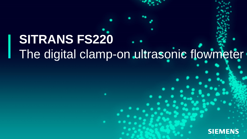# **SITRANS FS220** The digital clamp-on ultrasonic flowmeter

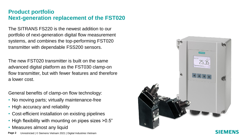# **Product portfolio Next-generation replacement of the FST020**

The SITRANS FS220 is the newest addition to our portfolio of next-generation digital flow measurement systems, and combines the top-performing FST020 transmitter with dependable FSS200 sensors.

The new FST020 transmitter is built on the same advanced digital platform as the FST030 clamp-on flow transmitter, but with fewer features and therefore a lower cost.

General benefits of clamp-on flow technology:

- No moving parts; virtually maintenance-free
- High accuracy and reliability
- Cost-efficient installation on existing pipelines
- High flexibility with mounting on pipes sizes >0.5"
- Measures almost any liquid



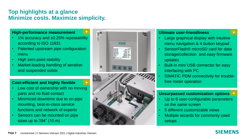# **Top highlights at a glance Minimize costs. Maximize simplicity.**

**+**

**+**

#### **High-performance measurement**

- 1% accuracy and ±0.25% repeatability according to ISO 11631
- Patented upstream pipe configuration menu
- High zero point stability
- Market-leading handling of aeration and suspended solids

#### **Cost-efficient and highly flexible**

- Low cost of ownership with no moving parts and no fluid contact
- Minimized downtime due to on-pipe mounting, best-in-class service functions and network of experts
- Sensors can be mounted on pipe sizes up to 394" (10 m)





#### **Ultimate user-friendliness**

- Large graphical display with intuitive menu navigation & 4-button keypad
- SensorFlash® microSD card for data storage/collection and easy firmware updates
- Built-in mini USB connector for easy interfacing with PC
- SIMATIC PDM connectivity for troublefree meter operation

#### **Unsurpassed customization options +**

- Up to 6 user-configurable parameters on the same screen
- 5 different customizable views
- Multiple wizards for commonly used setups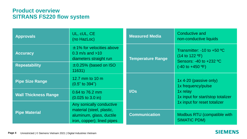# **Product overview SITRANS FS220 flow system**

| <b>Approvals</b>            | UL, cUL, CE<br>(no HazLoc)                                                                                      | <b>Measured Media</b>    | <b>Conductive and</b><br>non-conductive liquids                                                                                           |
|-----------------------------|-----------------------------------------------------------------------------------------------------------------|--------------------------|-------------------------------------------------------------------------------------------------------------------------------------------|
| <b>Accuracy</b>             | $±1\%$ for velocities above<br>$0.3 \text{ m/s}$ and $>10$<br>diameters straight run                            | <b>Temperature Range</b> | Transmitter: $-10$ to $+50$ °C<br>$(14 \text{ to } 122 \text{ °F})$<br>Sensors: $-40$ to $+232$ °C<br>$(-40 \text{ to } +450 \text{ °F})$ |
| <b>Repeatability</b>        | $\pm$ 0.25% (based on ISO<br>11631)                                                                             |                          |                                                                                                                                           |
| <b>Pipe Size Range</b>      | 12.7 mm to 10 m<br>$(0.5"$ to 394")                                                                             | I/OS                     | 1x 4-20 (passive only)<br>1x frequency/pulse<br>1x relay<br>1x input for start/stop totalizer<br>1x input for reset totalizer             |
| <b>Wall Thickness Range</b> | 0.64 to 76.2 mm<br>$(0.025 \text{ to } 3.0 \text{ in})$                                                         |                          |                                                                                                                                           |
| <b>Pipe Material</b>        | Any sonically conductive<br>material (steel, plastic,<br>aluminum, glass, ductile<br>iron, copper); lined pipes |                          |                                                                                                                                           |
|                             |                                                                                                                 | <b>Communication</b>     | Modbus RTU (compatible with<br><b>SIMATIC PDM)</b>                                                                                        |

#### **SIEMENS**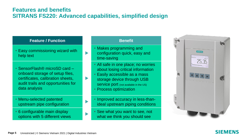# **Features and benefits SITRANS FS220: Advanced capabilities, simplified design**

 $\blacktriangleright$ 

#### **Feature / Function Benefit**

- Easy commissioning wizard with help text<br>help text
- SensorFlash® microSD card onboard storage of setup files, certificates, calibration sheets, audit trails and opportunities for data analysis
- Menu-selected patented upstream pipe configuration
- 6 configurable main display options with 5 different views

- Makes programming and configuration quick, easy and time-saving
- All safe in one place; no worries about losing critical information
- Easily accessible as a mass storage device through USB **SETVICE DOTI** (not available in the US)
- Process optimization
- Improved accuracy in less-thanideal upstream piping conditions
- See what you want to see, not what we think you should see



### SIEMENS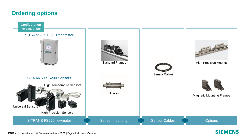# **Ordering options**

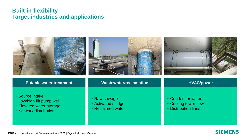# **Built-in flexibility Target industries and applications**



- Source intake
- Low/high lift pump well
- Elevated water storage
- Network distribution

• Raw sewage

- Activated sludge
- Reclaimed water
- Condenser water
- Cooling tower flow

**SIEMENS** 

• Distribution lines